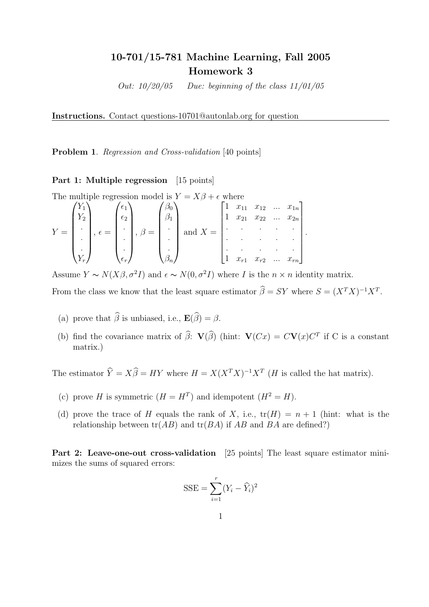# 10-701/15-781 Machine Learning, Fall 2005 Homework 3

Out:  $10/20/05$  Due: beginning of the class  $11/01/05$ 

Instructions. Contact questions-10701@autonlab.org for question

Problem 1. Regression and Cross-validation [40 points]

## Part 1: Multiple regression [15 points]

The multiple regression model is  $Y = X\beta + \epsilon$  where iple regre ion model<br>\  $Y = X\beta + \epsilon$ 

$$
Y = \begin{pmatrix} Y_1 \\ Y_2 \\ \vdots \\ Y_r \end{pmatrix}, \epsilon = \begin{pmatrix} \epsilon_1 \\ \epsilon_2 \\ \vdots \\ \epsilon_r \end{pmatrix}, \beta = \begin{pmatrix} \beta_0 \\ \beta_1 \\ \vdots \\ \beta_n \end{pmatrix} \text{ and } X = \begin{bmatrix} 1 & x_{11} & x_{12} & \dots & x_{1n} \\ 1 & x_{21} & x_{22} & \dots & x_{2n} \\ \vdots & \vdots & \ddots & \vdots & \vdots \\ 1 & x_{r1} & x_{r2} & \dots & x_{rn} \end{bmatrix}.
$$

Assume  $Y \sim N(X\beta, \sigma^2 I)$  and  $\epsilon \sim N(0, \sigma^2 I)$  where I is the  $n \times n$  identity matrix.

From the class we know that the least square estimator  $\widehat{\beta} = SY$  where  $S = (X^T X)^{-1} X^T$ .

 $\overline{a}$ 

- (a) prove that  $\widehat{\beta}$  is unbiased, i.e.,  $\mathbf{E}(\widehat{\beta}) = \beta$ .
- (b) find the covariance matrix of  $\hat{\beta}$ :  $\mathbf{V}(\hat{\beta})$  (hint:  $\mathbf{V}(Cx) = C\mathbf{V}(x)C^T$  if C is a constant matrix.)

The estimator  $\hat{Y} = X\hat{\beta} = HY$  where  $H = X(X^TX)^{-1}X^T$  (*H* is called the hat matrix).

- (c) prove H is symmetric  $(H = H^T)$  and idempotent  $(H^2 = H)$ .
- (d) prove the trace of H equals the rank of X, i.e.,  $tr(H) = n + 1$  (hint: what is the relationship between  $tr(AB)$  and  $tr(BA)$  if  $AB$  and  $BA$  are defined?)

Part 2: Leave-one-out cross-validation [25 points] The least square estimator minimizes the sums of squared errors:

$$
SSE = \sum_{i=1}^{r} (Y_i - \widehat{Y}_i)^2
$$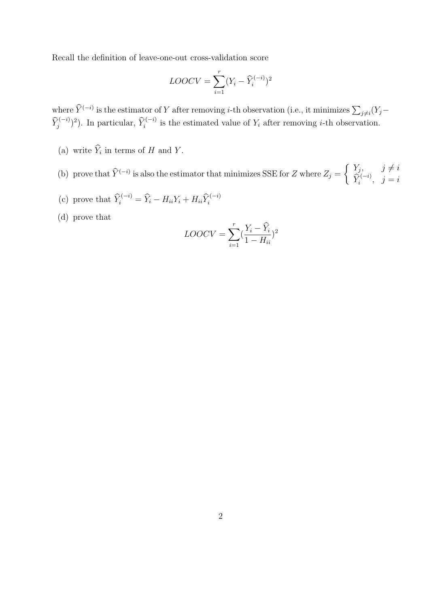Recall the definition of leave-one-out cross-validation score

$$
LOOCV = \sum_{i=1}^{r} (Y_i - \widehat{Y}_i^{(-i)})^2
$$

where  $\hat{Y}^{(-i)}$  is the estimator of Y after removing *i*-th observation (i.e., it minimizes  $\sum_{j\neq i}(Y_j-\hat{Y}^{(j)})$  $\widehat{Y}_j^{(-i)}$ )<sup>2</sup>). In particular,  $\widehat{Y}_i^{(-i)}$  is the estimated value of  $Y_i$  after removing *i*-th observation.

- (a) write  $\widehat{Y}_i$  in terms of H and Y.
- (b) prove that  $\widehat{Y}^{(-i)}$  is also the estimator that minimizes SSE for Z where  $Z_j =$  $Y_j, \qquad j \neq i$  $\widehat{Y}_i^{(-i)}, \ \ j=i$

½

- (c) prove that  $\widehat{Y}_i^{(-i)} = \widehat{Y}_i H_{ii}Y_i + H_{ii}\widehat{Y}_i^{(-i)}$
- (d) prove that

$$
LOOCV = \sum_{i=1}^{r} \left(\frac{Y_i - \widehat{Y}_i}{1 - H_{ii}}\right)^2
$$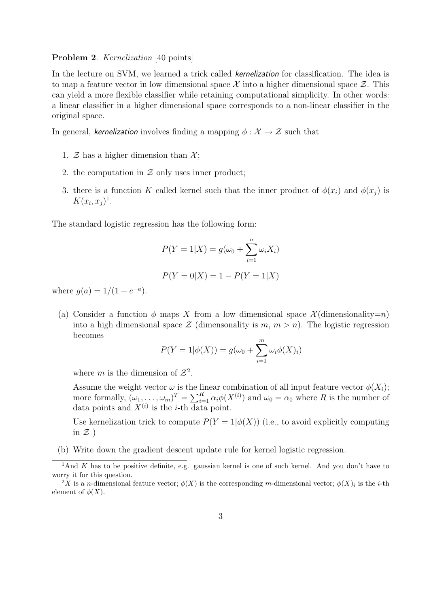#### Problem 2. *Kernelization* [40 points]

In the lecture on SVM, we learned a trick called *kernelization* for classification. The idea is to map a feature vector in low dimensional space X into a higher dimensional space  $\mathcal Z$ . This can yield a more flexible classifier while retaining computational simplicity. In other words: a linear classifier in a higher dimensional space corresponds to a non-linear classifier in the original space.

In general, kernelization involves finding a mapping  $\phi : \mathcal{X} \to \mathcal{Z}$  such that

- 1. Z has a higher dimension than  $\mathcal{X}$ :
- 2. the computation in  $\mathcal Z$  only uses inner product;
- 3. there is a function K called kernel such that the inner product of  $\phi(x_i)$  and  $\phi(x_i)$  is  $K(x_i, x_j)^1$ .

The standard logistic regression has the following form:

$$
P(Y = 1|X) = g(\omega_0 + \sum_{i=1}^{n} \omega_i X_i)
$$

$$
P(Y = 0|X) = 1 - P(Y = 1|X)
$$

where  $g(a) = 1/(1 + e^{-a}).$ 

(a) Consider a function  $\phi$  maps X from a low dimensional space  $\mathcal{X}$  (dimensionality=n) into a high dimensional space  $\mathcal Z$  (dimensonality is  $m, m > n$ ). The logistic regression becomes

$$
P(Y = 1 | \phi(X)) = g(\omega_0 + \sum_{i=1}^{m} \omega_i \phi(X)_i)
$$

where m is the dimension of  $\mathcal{Z}^2$ .

Assume the weight vector  $\omega$  is the linear combination of all input feature vector  $\phi(X_i)$ ; Assume the weight vector  $\omega$  is the initial combination of an input leature vector  $\varphi(\Lambda_i)$ ,<br>more formally,  $(\omega_1, \ldots, \omega_m)^T = \sum_{i=1}^R \alpha_i \phi(X^{(i)})$  and  $\omega_0 = \alpha_0$  where R is the number of data points and  $X^{(i)}$  is the *i*-th data point.

Use kernelization trick to compute  $P(Y = 1 | \phi(X))$  (i.e., to avoid explicitly computing in  $\mathcal{Z}$ )

(b) Write down the gradient descent update rule for kernel logistic regression.

<sup>&</sup>lt;sup>1</sup>And K has to be positive definite, e.g. gaussian kernel is one of such kernel. And you don't have to worry it for this question.

<sup>&</sup>lt;sup>2</sup>X is a n-dimensional feature vector;  $\phi(X)$  is the corresponding m-dimensional vector;  $\phi(X)_i$  is the *i*-th element of  $\phi(X)$ .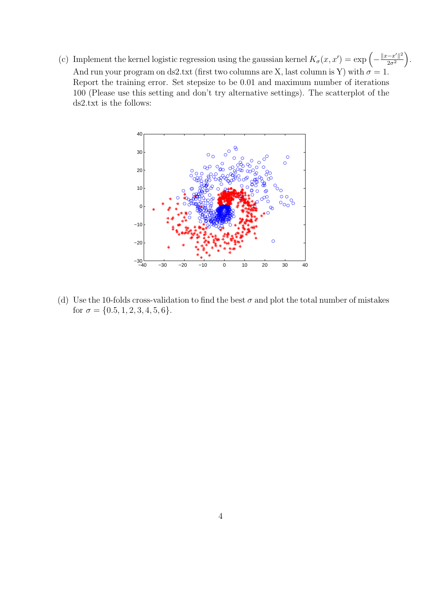(c) Implement the kernel logistic regression using the gaussian kernel  $K_{\sigma}(x, x') = \exp \left(-\frac{\|x-x'\|^2}{2\sigma^2}\right)$  $\overline{2\sigma^2}$ ´ And run your program on ds2.txt (first two columns are X, last column is Y) with  $\sigma = 1$ . Report the training error. Set stepsize to be 0.01 and maximum number of iterations 100 (Please use this setting and don't try alternative settings). The scatterplot of the ds2.txt is the follows:

.



(d) Use the 10-folds cross-validation to find the best  $\sigma$  and plot the total number of mistakes for  $\sigma = \{0.5, 1, 2, 3, 4, 5, 6\}.$